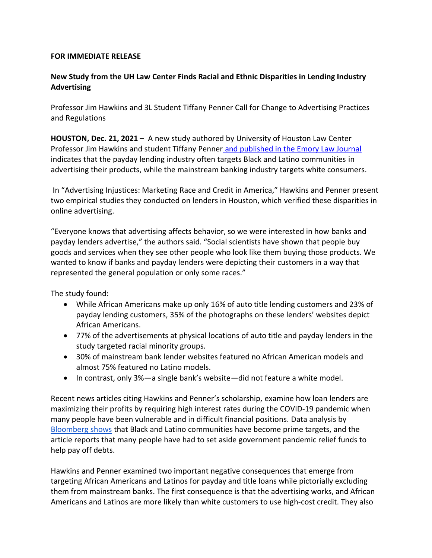### **FOR IMMEDIATE RELEASE**

# **New Study from the UH Law Center Finds Racial and Ethnic Disparities in Lending Industry Advertising**

Professor Jim Hawkins and 3L Student Tiffany Penner Call for Change to Advertising Practices and Regulations

**HOUSTON, Dec. 21, 2021 –** A new study authored by University of Houston Law Center Professor Jim Hawkins and student Tiffany Penner and [published in the Emory Law Journal](https://scholarlycommons.law.emory.edu/elj/vol70/iss7/7/) indicates that the payday lending industry often targets Black and Latino communities in advertising their products, while the mainstream banking industry targets white consumers.

In "Advertising Injustices: Marketing Race and Credit in America," Hawkins and Penner present two empirical studies they conducted on lenders in Houston, which verified these disparities in online advertising.

"Everyone knows that advertising affects behavior, so we were interested in how banks and payday lenders advertise," the authors said. "Social scientists have shown that people buy goods and services when they see other people who look like them buying those products. We wanted to know if banks and payday lenders were depicting their customers in a way that represented the general population or only some races."

The study found:

- While African Americans make up only 16% of auto title lending customers and 23% of payday lending customers, 35% of the photographs on these lenders' websites depict African Americans.
- 77% of the advertisements at physical locations of auto title and payday lenders in the study targeted racial minority groups.
- 30% of mainstream bank lender websites featured no African American models and almost 75% featured no Latino models.
- In contrast, only 3%—a single bank's website—did not feature a white model.

Recent news articles citing Hawkins and Penner's scholarship, examine how loan lenders are maximizing their profits by requiring high interest rates during the COVID-19 pandemic when many people have been vulnerable and in difficult financial positions. Data analysis by Bloomberg shows that Black and Latino communities have become prime targets, and the article reports that many people have had to set aside government pandemic relief funds to help pay off debts.

Hawkins and Penner examined two important negative consequences that emerge from targeting African Americans and Latinos for payday and title loans while pictorially excluding them from mainstream banks. The first consequence is that the advertising works, and African Americans and Latinos are more likely than white customers to use high-cost credit. They also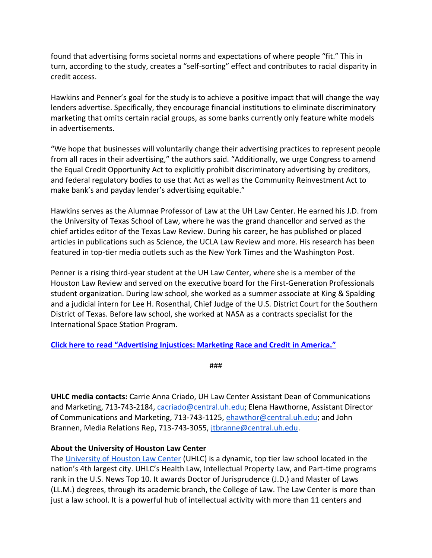found that advertising forms societal norms and expectations of where people "fit." This in turn, according to the study, creates a "self-sorting" effect and contributes to racial disparity in credit access.

Hawkins and Penner's goal for the study is to achieve a positive impact that will change the way lenders advertise. Specifically, they encourage financial institutions to eliminate discriminatory marketing that omits certain racial groups, as some banks currently only feature white models in advertisements.

"We hope that businesses will voluntarily change their advertising practices to represent people from all races in their advertising," the authors said. "Additionally, we urge Congress to amend the Equal Credit Opportunity Act to explicitly prohibit discriminatory advertising by creditors, and federal regulatory bodies to use that Act as well as the Community Reinvestment Act to make bank's and payday lender's advertising equitable."

Hawkins serves as the Alumnae Professor of Law at the UH Law Center. He earned his J.D. from the University of Texas School of Law, where he was the grand chancellor and served as the chief articles editor of the Texas Law Review. During his career, he has published or placed articles in publications such as Science, the UCLA Law Review and more. His research has been featured in top-tier media outlets such as the New York Times and the Washington Post.

Penner is a rising third-year student at the UH Law Center, where she is a member of the Houston Law Review and served on the executive board for the First-Generation Professionals student organization. During law school, she worked as a summer associate at King & Spalding and a judicial intern for Lee H. Rosenthal, Chief Judge of the U.S. District Court for the Southern District of Texas. Before law school, she worked at NASA as a contracts specialist for the International Space Station Program.

## **[Click here to read "Advertising Injustices: Marketing Race and Credit in America."](https://scholarlycommons.law.emory.edu/elj/vol70/iss7/7/)**

###

**UHLC media contacts:** Carrie Anna Criado, UH Law Center Assistant Dean of Communications and Marketing, 713-743-2184, [cacriado@central.uh.edu;](mailto:cacriado@central.uh.edu) Elena Hawthorne, Assistant Director of Communications and Marketing, 713-743-1125, [ehawthor@central.uh.edu;](mailto:ehawthor@central.uh.edu) and John Brannen, Media Relations Rep, 713-743-3055, [jtbranne@central.uh.edu.](mailto:jtbranne@central.uh.edu)

## **About the University of Houston Law Center**

The [University of Houston Law Center](https://law.uh.edu/) (UHLC) is a dynamic, top tier law school located in the nation's 4th largest city. UHLC's Health Law, Intellectual Property Law, and Part-time programs rank in the U.S. News Top 10. It awards Doctor of Jurisprudence (J.D.) and Master of Laws (LL.M.) degrees, through its academic branch, the College of Law. The Law Center is more than just a law school. It is a powerful hub of intellectual activity with more than 11 centers and